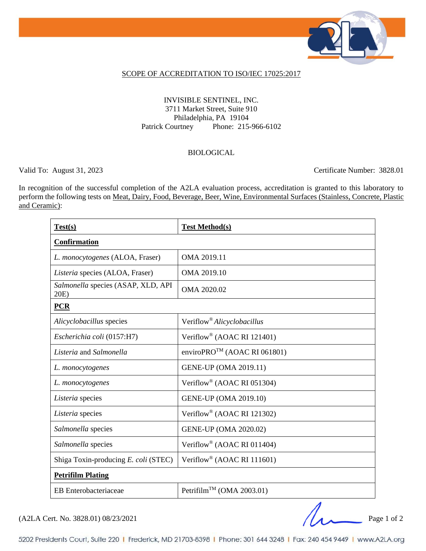

#### SCOPE OF ACCREDITATION TO ISO/IEC 17025:2017

### INVISIBLE SENTINEL, INC. 3711 Market Street, Suite 910 Philadelphia, PA 19104 Patrick Courtney Phone: 215-966-6102

### BIOLOGICAL

Valid To: August 31, 2023 Certificate Number: 3828.01

In recognition of the successful completion of the A2LA evaluation process, accreditation is granted to this laboratory to perform the following tests on <u>Meat, Dairy, Food, Beverage, Beer, Wine, Environmental Surfaces (Stainless, Concrete, Plastic</u> and Ceramic):

| Test(s)                                    | <b>Test Method(s)</b>                    |
|--------------------------------------------|------------------------------------------|
| <b>Confirmation</b>                        |                                          |
| L. monocytogenes (ALOA, Fraser)            | OMA 2019.11                              |
| Listeria species (ALOA, Fraser)            | OMA 2019.10                              |
| Salmonella species (ASAP, XLD, API<br>20E) | OMA 2020.02                              |
| PCR                                        |                                          |
| Alicyclobacillus species                   | Veriflow <sup>®</sup> Alicyclobacillus   |
| Escherichia coli (0157:H7)                 | Veriflow <sup>®</sup> (AOAC RI 121401)   |
| Listeria and Salmonella                    | enviroPRO <sup>TM</sup> (AOAC RI 061801) |
| L. monocytogenes                           | <b>GENE-UP (OMA 2019.11)</b>             |
| L. monocytogenes                           | Veriflow <sup>®</sup> (AOAC RI 051304)   |
| Listeria species                           | <b>GENE-UP (OMA 2019.10)</b>             |
| Listeria species                           | Veriflow <sup>®</sup> (AOAC RI 121302)   |
| Salmonella species                         | <b>GENE-UP (OMA 2020.02)</b>             |
| Salmonella species                         | Veriflow <sup>®</sup> (AOAC RI 011404)   |
| Shiga Toxin-producing E. coli (STEC)       | Veriflow <sup>®</sup> (AOAC RI 111601)   |
| <b>Petrifilm Plating</b>                   |                                          |
| <b>EB</b> Enterobacteriaceae               | Petrifilm <sup>TM</sup> (OMA 2003.01)    |

 $(A2LA$  Cert. No. 3828.01) 08/23/2021 Page 1 of 2

5202 Presidents Court, Suite 220 | Frederick, MD 21703-8398 | Phone: 301 644 3248 | Fax: 240 454 9449 | www.A2LA.org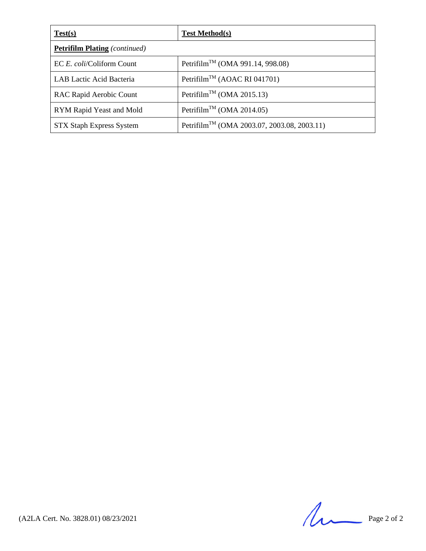| Test(s)                              | <b>Test Method(s)</b>                                   |
|--------------------------------------|---------------------------------------------------------|
| <b>Petrifilm Plating</b> (continued) |                                                         |
| EC E. coli/Coliform Count            | Petrifilm <sup>TM</sup> (OMA 991.14, 998.08)            |
| LAB Lactic Acid Bacteria             | Petrifilm <sup>TM</sup> (AOAC RI 041701)                |
| RAC Rapid Aerobic Count              | Petrifilm <sup>TM</sup> (OMA 2015.13)                   |
| RYM Rapid Yeast and Mold             | Petrifilm <sup>TM</sup> (OMA 2014.05)                   |
| <b>STX Staph Express System</b>      | Petrifilm <sup>TM</sup> (OMA 2003.07, 2003.08, 2003.11) |

 $(A2LA$  Cert. No. 3828.01) 08/23/2021 Page 2 of 2